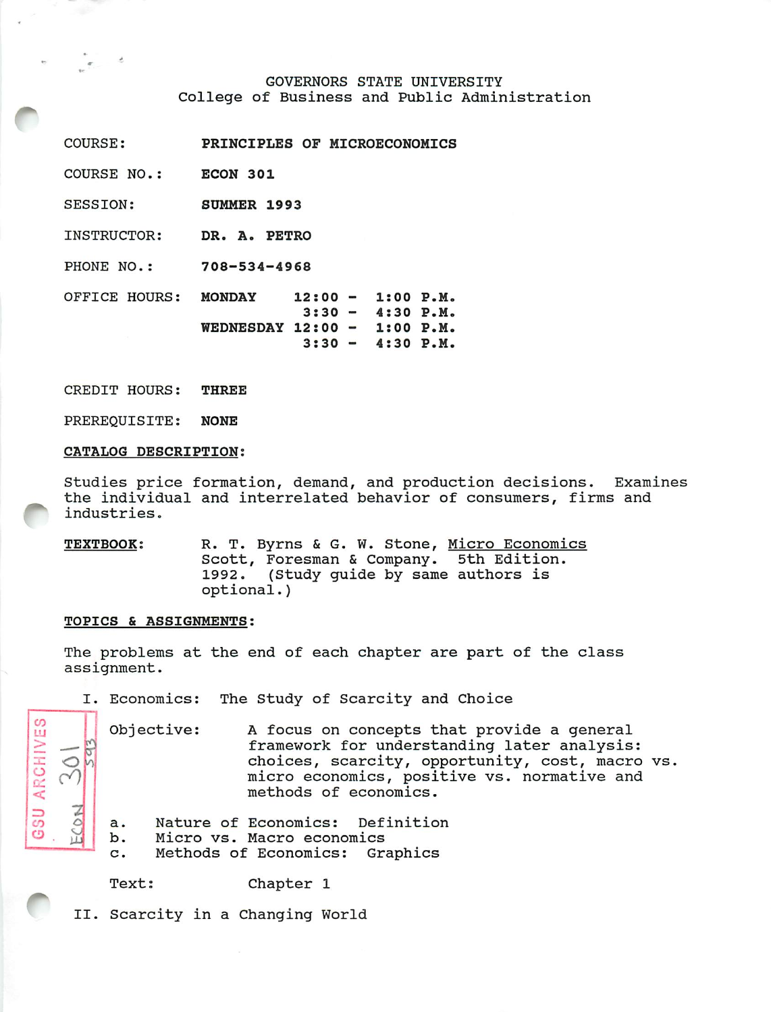# GOVERNORS STATE UNIVERSITY College of Business and Public Administration

| PRINCIPLES OF MICROECONOMICS                                                                                        |
|---------------------------------------------------------------------------------------------------------------------|
| ECON 301                                                                                                            |
| <b>SUMMER 1993</b>                                                                                                  |
| DR. A. PETRO                                                                                                        |
| $708 - 534 - 4968$                                                                                                  |
| <b>MONDAY</b><br>$12:00 - 1:00 P.M.$<br>$3:30 - 4:30 P.M.$<br>WEDNESDAY $12:00 - 1:00 P.M.$<br>$-4:30 P.M.$<br>3:30 |
|                                                                                                                     |

CREDIT HOURS: THREE

PREREQUISITE: NONE

### CATALOG DESCRIPTION:

Studies price formation, demand, and production decisions. Examines the individual and interrelated behavior of consumers, firms and industries.

TEXTBOOK: R. T. Byrns & G. W. Stone, Micro Economics Scott, Foresman & Company. 5th Edition. 1992. (Study guide by same authors is optional.)

# TOPICS & ASSIGNMENTS:

*CO ,J*

 $\frac{1}{2}$   $\frac{1}{2}$   $\frac{1}{2}$ 

*s ^ <*

*=> 1 CO o |o. i* *1*

The problems at the end of each chapter are part of the class assignment.

I. Economics: The Study of Scarcity and Choice

Objective: A focus on concepts that provide a general framework for understanding later analysis: choices, scarcity, opportunity, cost, macro vs. micro economics, positive vs. normative and methods of economics.

a. Nature of Economics: Definition

b. Micro vs. Macro economics

c. Methods of Economics: Graphics

Text: Chapter 1

II. Scarcity in a Changing World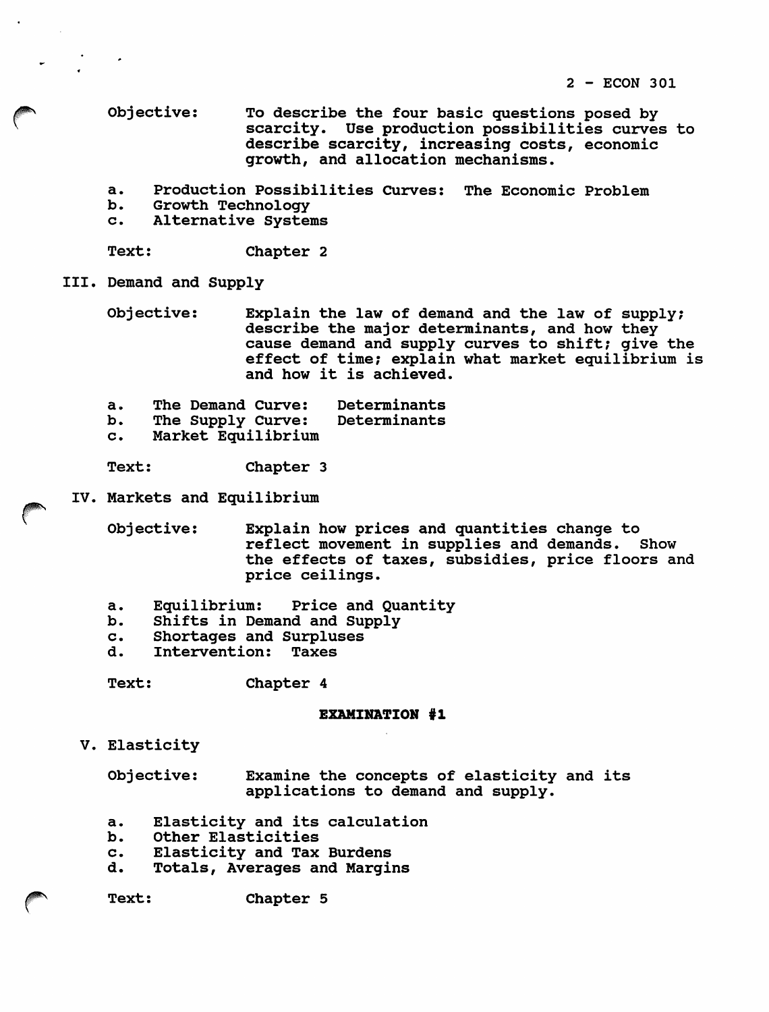Objective: To describe the four basic questions posed by scarcity. Use production possibilities curves to describe scarcity, increasing costs, economic growth, and allocation mechanisms.

- a. Production Possibilities Curves: The Economic Problem
- b. Growth Technology<br>c. Alternative System
- Alternative Systems

Text: Chapter 2

III. Demand and Supply

Objective: Explain the law of demand and the law of supply; describe the major determinants, and how they cause demand and supply curves to shift; give the effect of time; explain what market equilibrium is and how it is achieved.

a. The Demand Curve: Determinants<br>b. The Supply Curve: Determinants

The Supply Curve:

c. Market Equilibrium

Text: Chapter 3

IV. Markets and Equilibrium

Objective: Explain how prices and quantities change to reflect movement in supplies and demands. Show the effects of taxes, subsidies, price floors and price ceilings.

- a. Equilibrium: Price and Quantity
- b. Shifts in Demand and Supply
- c. Shortages and Surpluses<br>d. Intervention: Taxes
- Intervention:

Text: Chapter 4

# EXAMINATION #1

V. Elasticity

Objective: Examine the concepts of elasticity and its applications to demand and supply.

- a. Elasticity and its calculation
- b. Other Elasticities
- c. Elasticity and Tax Burdens
- d. Totals, Averages and Margins

Text: Chapter 5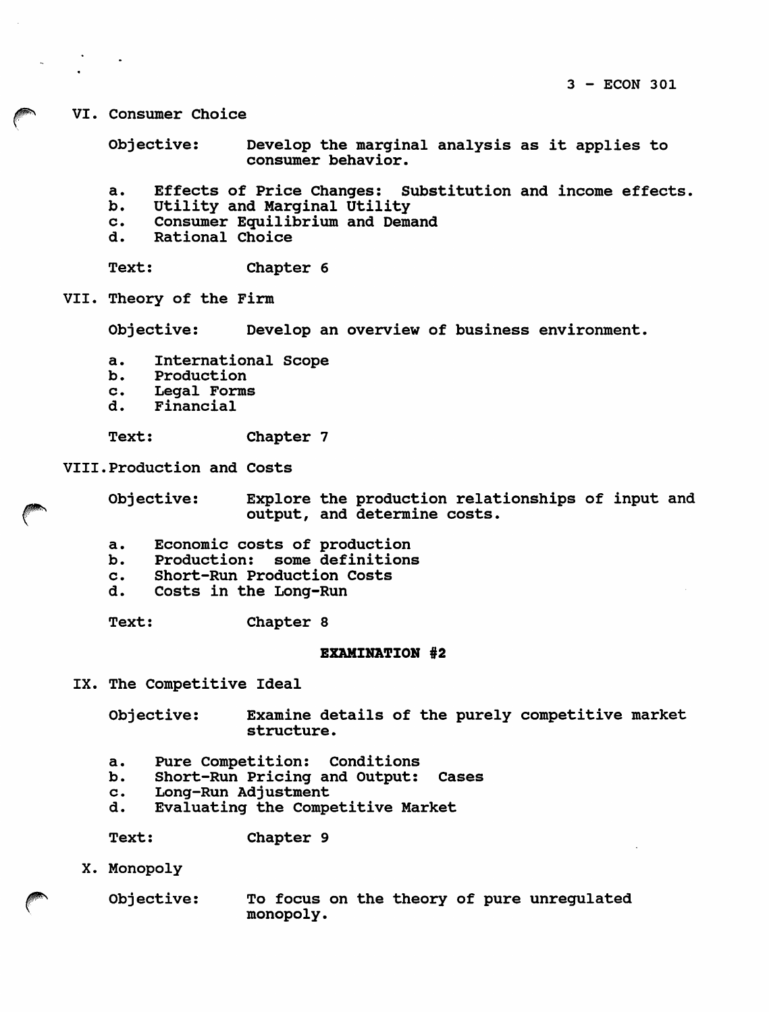VI. Consumer Choice

Objective: Develop the marginal analysis as it applies to consumer behavior.

- a. Effects of Price Changes: Substitution and income effects.
- b. Utility and Marginal Utility<br>c. Consumer Equilibrium and Dema
- c. Consumer Equilibrium and Demand<br>d. Rational Choice
- Rational Choice

Text: Chapter 6

VII. Theory of the Firm

Objective: Develop an overview of business environment.

- a. International Scope
- b. Production
- c. Legal Forms
- d. Financial

Text: Chapter 7

VIII.Production and Costs

Objective: Explore the production relationships of input and output, and determine costs.

- a. Economic costs of production
- b. Production: some definitions
- c. Short-Run Production Costs
- d. Costs in the Long-Run

Text: Chapter 8

### EXAMINATION #2

IX. The Competitive Ideal

Objective: Examine details of the purely competitive market structure.

- a. Pure Competition: Conditions
- b. Short-Run Pricing and Output: Cases
- c. Long-Run Adjustment
- d. Evaluating the Competitive Market

Text: Chapter 9

X. Monopoly

Objective: To focus on the theory of pure unregulated • monopoly.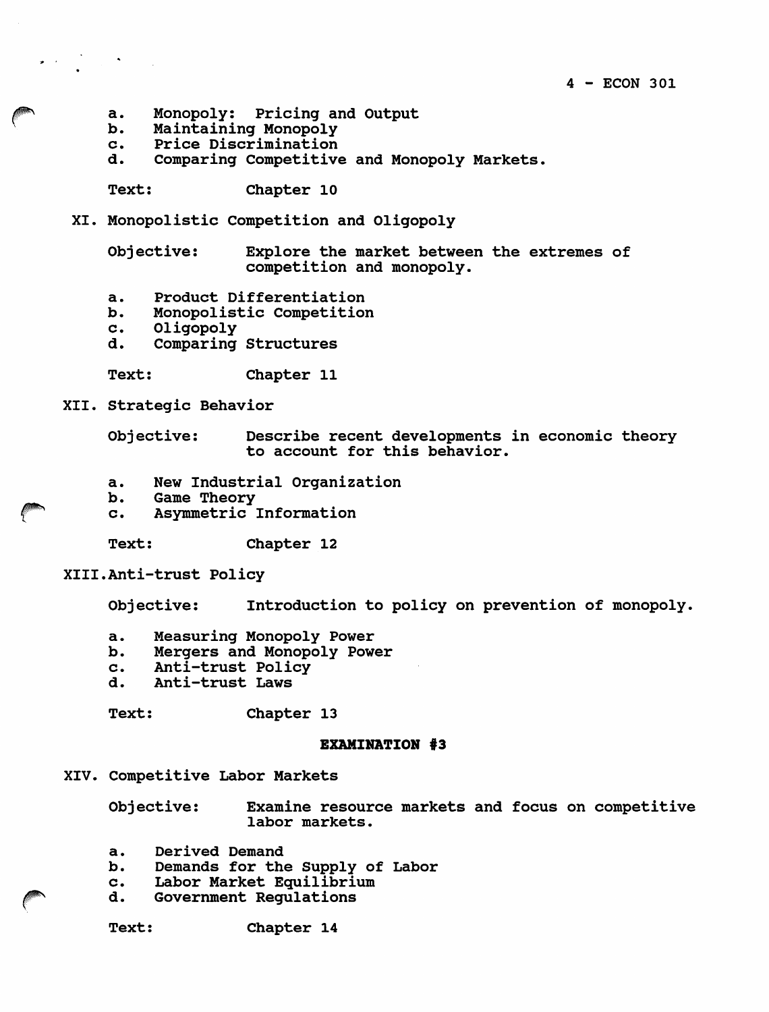- a. Monopoly: Pricing and Output<br>b. Maintaining Monopoly
- b. Maintaining Monopoly
- c. Price Discrimination<br>d. Comparing Competitive
- Comparing Competitive and Monopoly Markets.

Text: Chapter 10

XI. Monopolistic Competition and Oligopoly

Objective: Explore the market between the extremes of competition and monopoly.

- a. Product Differentiation<br>b. Monopolistic Competition
- b. Monopolistic Competition<br>c. Oligopoly
- Oligopoly
- d. Comparing Structures

Text: Chapter 11

XII. Strategic Behavior

Objective: Describe recent developments in economic theory to account for this behavior.

- a. New Industrial Organization
- b. Game Theory
- c. Asymmetric Information

Text: Chapter 12

XIII.Anti-trust Policy

Objective: Introduction to policy on prevention of monopoly.

- a. Measuring Monopoly Power
- b. Mergers and Monopoly Power
- c. Anti-trust Policy<br>d. Anti-trust Laws
- d. Anti-trust Laws

Text: Chapter 13

## EXAMINATION #3

XIV. Competitive Labor Markets

Objective: Examine resource markets and focus on competitive labor markets.

- a. Derived Demand
- b. Demands for the Supply of Labor
- c. Labor Market Equilibrium
- d. Government Regulations

Text: Chapter 14